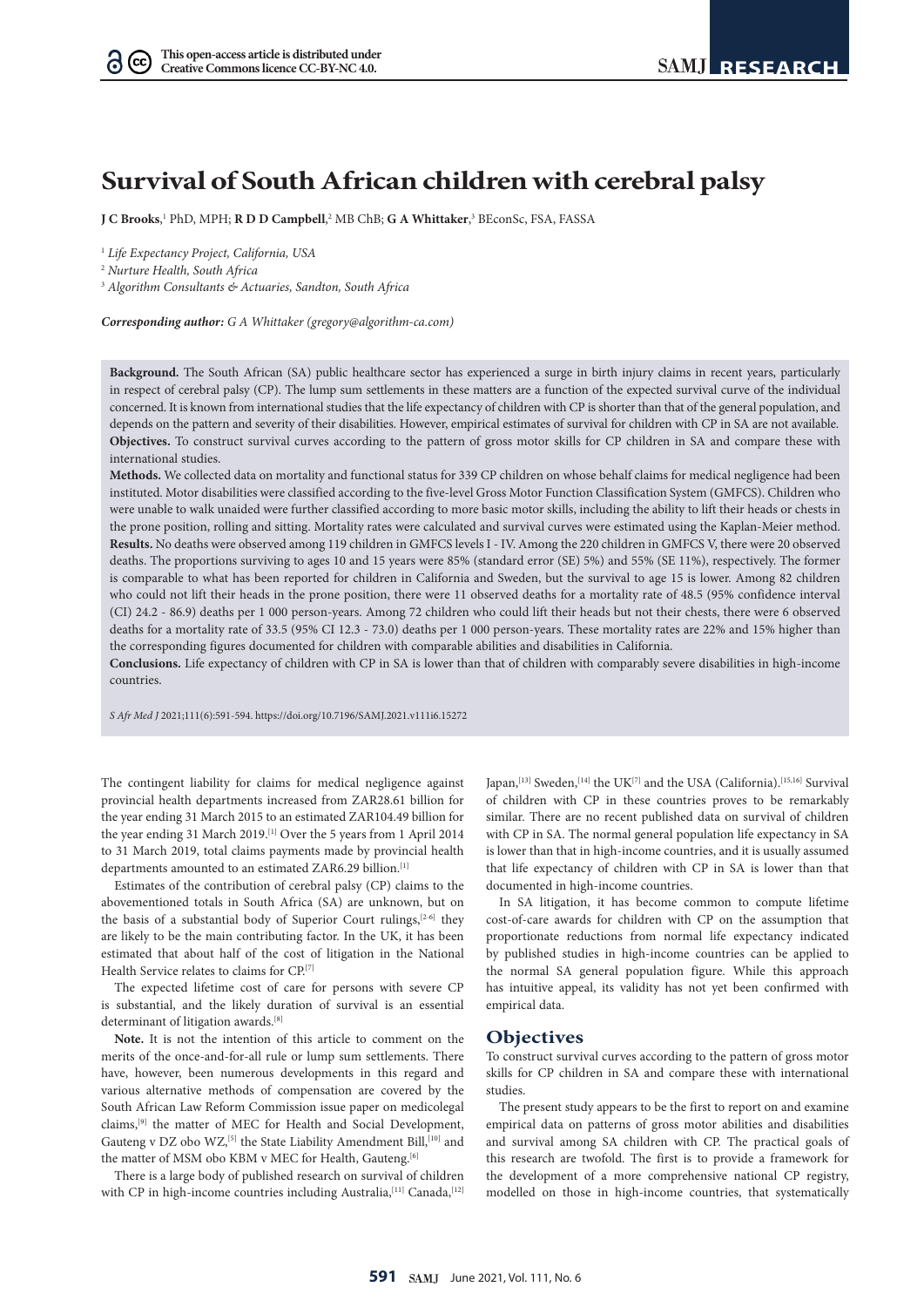# **Survival of South African children with cerebral palsy**

**J C Brooks,'** PhD, MPH; **R D D Campbell,**<sup>2</sup> MB ChB; **G A Whittaker,**3 BEconSc, FSA, FASSA

<sup>1</sup> *Life Expectancy Project, California, USA*

<sup>2</sup> *Nurture Health, South Africa*

 $(cc)$ 

<sup>3</sup> *Algorithm Consultants & Actuaries, Sandton, South Africa*

*Corresponding author: G A Whittaker ([gregory@algorithm-ca.com\)](mailto:gregory@algorithm-ca.com)*

**Background.** The South African (SA) public healthcare sector has experienced a surge in birth injury claims in recent years, particularly in respect of cerebral palsy (CP). The lump sum settlements in these matters are a function of the expected survival curve of the individual concerned. It is known from international studies that the life expectancy of children with CP is shorter than that of the general population, and depends on the pattern and severity of their disabilities. However, empirical estimates of survival for children with CP in SA are not available. **Objectives.** To construct survival curves according to the pattern of gross motor skills for CP children in SA and compare these with international studies.

**Methods.** We collected data on mortality and functional status for 339 CP children on whose behalf claims for medical negligence had been instituted. Motor disabilities were classified according to the five-level Gross Motor Function Classification System (GMFCS). Children who were unable to walk unaided were further classified according to more basic motor skills, including the ability to lift their heads or chests in the prone position, rolling and sitting. Mortality rates were calculated and survival curves were estimated using the Kaplan-Meier method. **Results.** No deaths were observed among 119 children in GMFCS levels I - IV. Among the 220 children in GMFCS V, there were 20 observed deaths. The proportions surviving to ages 10 and 15 years were 85% (standard error (SE) 5%) and 55% (SE 11%), respectively. The former is comparable to what has been reported for children in California and Sweden, but the survival to age 15 is lower. Among 82 children who could not lift their heads in the prone position, there were 11 observed deaths for a mortality rate of 48.5 (95% confidence interval (CI) 24.2 - 86.9) deaths per 1 000 person-years. Among 72 children who could lift their heads but not their chests, there were 6 observed deaths for a mortality rate of 33.5 (95% CI 12.3 - 73.0) deaths per 1 000 person-years. These mortality rates are 22% and 15% higher than the corresponding figures documented for children with comparable abilities and disabilities in California.

**Conclusions.** Life expectancy of children with CP in SA is lower than that of children with comparably severe disabilities in high-income countries.

*S Afr Med J* 2021;111(6):591-594. <https://doi.org/10.7196/SAMJ.2021.v111i6.15272>

The contingent liability for claims for medical negligence against provincial health departments increased from ZAR28.61 billion for the year ending 31 March 2015 to an estimated ZAR104.49 billion for the year ending 31 March 2019.<sup>[1]</sup> Over the 5 years from 1 April 2014 to 31 March 2019, total claims payments made by provincial health departments amounted to an estimated ZAR6.29 billion.<sup>[1]</sup>

Estimates of the contribution of cerebral palsy (CP) claims to the abovementioned totals in South Africa (SA) are unknown, but on the basis of a substantial body of Superior Court rulings,  $[2-6]$  they are likely to be the main contributing factor. In the UK, it has been estimated that about half of the cost of litigation in the National Health Service relates to claims for CP.[7]

The expected lifetime cost of care for persons with severe CP is substantial, and the likely duration of survival is an essential determinant of litigation awards.<sup>[8]</sup>

**Note.** It is not the intention of this article to comment on the merits of the once-and-for-all rule or lump sum settlements. There have, however, been numerous developments in this regard and various alternative methods of compensation are covered by the South African Law Reform Commission issue paper on medicolegal claims,[9] the matter of MEC for Health and Social Development, Gauteng v DZ obo WZ,<sup>[5]</sup> the State Liability Amendment Bill,<sup>[10]</sup> and the matter of MSM obo KBM v MEC for Health, Gauteng.<sup>[6]</sup>

There is a large body of published research on survival of children with CP in high-income countries including Australia,<sup>[11]</sup> Canada,<sup>[12]</sup>

Japan,<sup>[13]</sup> Sweden,<sup>[14]</sup> the UK<sup>[7]</sup> and the USA (California).<sup>[15,16]</sup> Survival of children with CP in these countries proves to be remarkably similar. There are no recent published data on survival of children with CP in SA. The normal general population life expectancy in SA is lower than that in high-income countries, and it is usually assumed that life expectancy of children with CP in SA is lower than that documented in high-income countries.

In SA litigation, it has become common to compute lifetime cost-of-care awards for children with CP on the assumption that proportionate reductions from normal life expectancy indicated by published studies in high-income countries can be applied to the normal SA general population figure. While this approach has intuitive appeal, its validity has not yet been confirmed with empirical data.

#### **Objectives**

To construct survival curves according to the pattern of gross motor skills for CP children in SA and compare these with international studies.

The present study appears to be the first to report on and examine empirical data on patterns of gross motor abilities and disabilities and survival among SA children with CP. The practical goals of this research are twofold. The first is to provide a framework for the development of a more comprehensive national CP registry, modelled on those in high-income countries, that systematically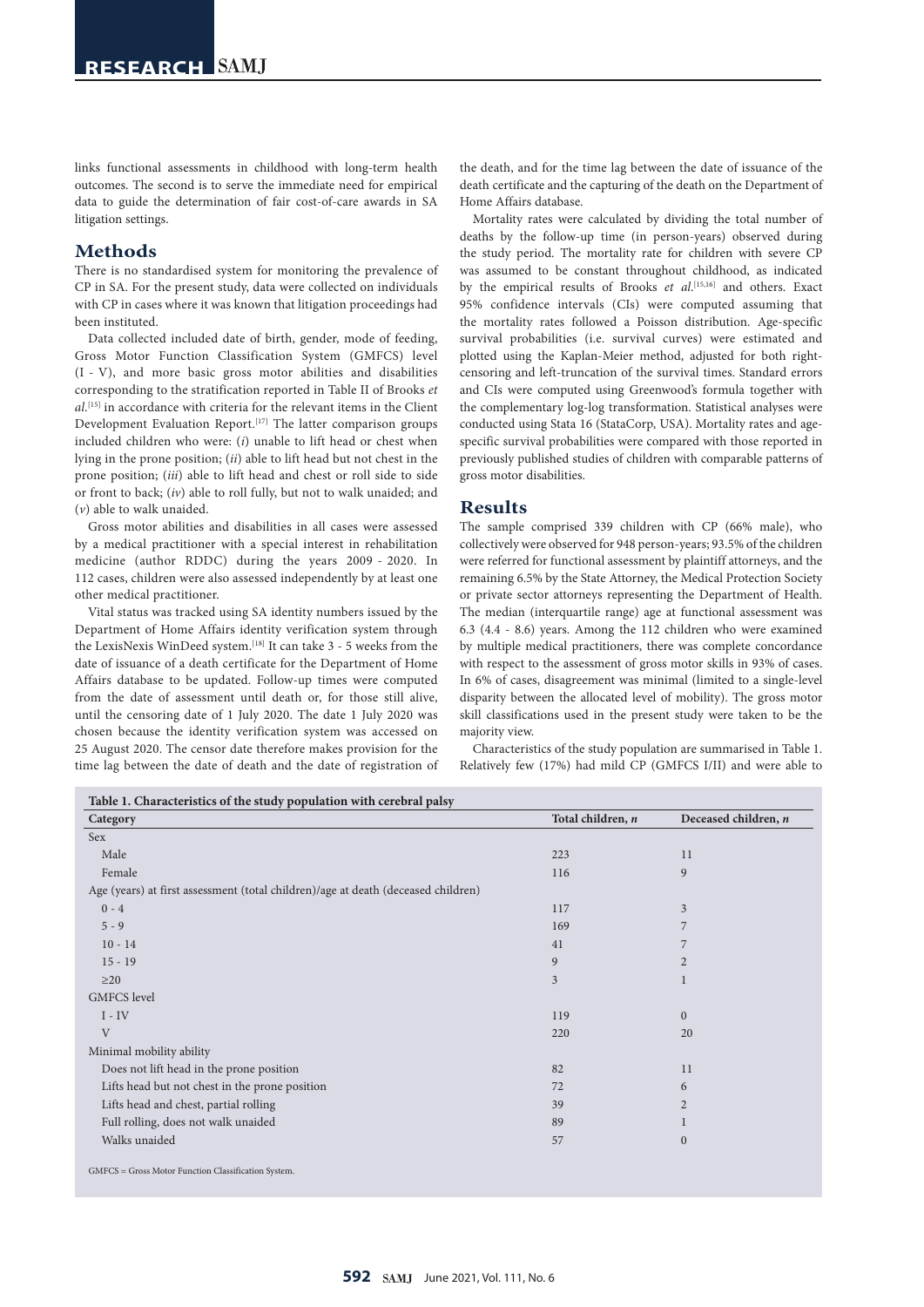links functional assessments in childhood with long-term health outcomes. The second is to serve the immediate need for empirical data to guide the determination of fair cost-of-care awards in SA litigation settings.

## **Methods**

There is no standardised system for monitoring the prevalence of CP in SA. For the present study, data were collected on individuals with CP in cases where it was known that litigation proceedings had been instituted.

Data collected included date of birth, gender, mode of feeding, Gross Motor Function Classification System (GMFCS) level (I - V), and more basic gross motor abilities and disabilities corresponding to the stratification reported in Table II of Brooks *et al*. [15] in accordance with criteria for the relevant items in the Client Development Evaluation Report.<sup>[17]</sup> The latter comparison groups included children who were: (*i*) unable to lift head or chest when lying in the prone position; (*ii*) able to lift head but not chest in the prone position; (*iii*) able to lift head and chest or roll side to side or front to back; (*iv*) able to roll fully, but not to walk unaided; and (*v*) able to walk unaided.

Gross motor abilities and disabilities in all cases were assessed by a medical practitioner with a special interest in rehabilitation medicine (author RDDC) during the years 2009 - 2020. In 112 cases, children were also assessed independently by at least one other medical practitioner.

Vital status was tracked using SA identity numbers issued by the Department of Home Affairs identity verification system through the LexisNexis WinDeed system.<sup>[18]</sup> It can take 3 - 5 weeks from the date of issuance of a death certificate for the Department of Home Affairs database to be updated. Follow-up times were computed from the date of assessment until death or, for those still alive, until the censoring date of 1 July 2020. The date 1 July 2020 was chosen because the identity verification system was accessed on 25 August 2020. The censor date therefore makes provision for the time lag between the date of death and the date of registration of the death, and for the time lag between the date of issuance of the death certificate and the capturing of the death on the Department of Home Affairs database.

Mortality rates were calculated by dividing the total number of deaths by the follow-up time (in person-years) observed during the study period. The mortality rate for children with severe CP was assumed to be constant throughout childhood, as indicated by the empirical results of Brooks *et al*. [15,16] and others. Exact 95% confidence intervals (CIs) were computed assuming that the mortality rates followed a Poisson distribution. Age-specific survival probabilities (i.e. survival curves) were estimated and plotted using the Kaplan-Meier method, adjusted for both rightcensoring and left-truncation of the survival times. Standard errors and CIs were computed using Greenwood's formula together with the complementary log-log transformation. Statistical analyses were conducted using Stata 16 (StataCorp, USA). Mortality rates and agespecific survival probabilities were compared with those reported in previously published studies of children with comparable patterns of gross motor disabilities.

## **Results**

The sample comprised 339 children with CP (66% male), who collectively were observed for 948 person-years; 93.5% of the children were referred for functional assessment by plaintiff attorneys, and the remaining 6.5% by the State Attorney, the Medical Protection Society or private sector attorneys representing the Department of Health. The median (interquartile range) age at functional assessment was 6.3 (4.4 - 8.6) years. Among the 112 children who were examined by multiple medical practitioners, there was complete concordance with respect to the assessment of gross motor skills in 93% of cases. In 6% of cases, disagreement was minimal (limited to a single-level disparity between the allocated level of mobility). The gross motor skill classifications used in the present study were taken to be the majority view.

Characteristics of the study population are summarised in Table 1. Relatively few (17%) had mild CP (GMFCS I/II) and were able to

| Category                                                                          | Total children, n | Deceased children, n |
|-----------------------------------------------------------------------------------|-------------------|----------------------|
| Sex                                                                               |                   |                      |
| Male                                                                              | 223               | 11                   |
| Female                                                                            | 116               | 9                    |
| Age (years) at first assessment (total children)/age at death (deceased children) |                   |                      |
| $0 - 4$                                                                           | 117               | 3                    |
| $5 - 9$                                                                           | 169               |                      |
| $10 - 14$                                                                         | 41                | 7                    |
| $15 - 19$                                                                         | 9                 | $\overline{2}$       |
| $\geq$ 20                                                                         | 3                 | 1                    |
| <b>GMFCS</b> level                                                                |                   |                      |
| $I - IV$                                                                          | 119               | $\overline{0}$       |
| V                                                                                 | 220               | 20                   |
| Minimal mobility ability                                                          |                   |                      |
| Does not lift head in the prone position                                          | 82                | 11                   |
| Lifts head but not chest in the prone position                                    | 72                | 6                    |
| Lifts head and chest, partial rolling                                             | 39                | $\overline{2}$       |
| Full rolling, does not walk unaided                                               | 89                |                      |
| Walks unaided                                                                     | 57                | $\mathbf{0}$         |

GMFCS = Gross Motor Function Classification System.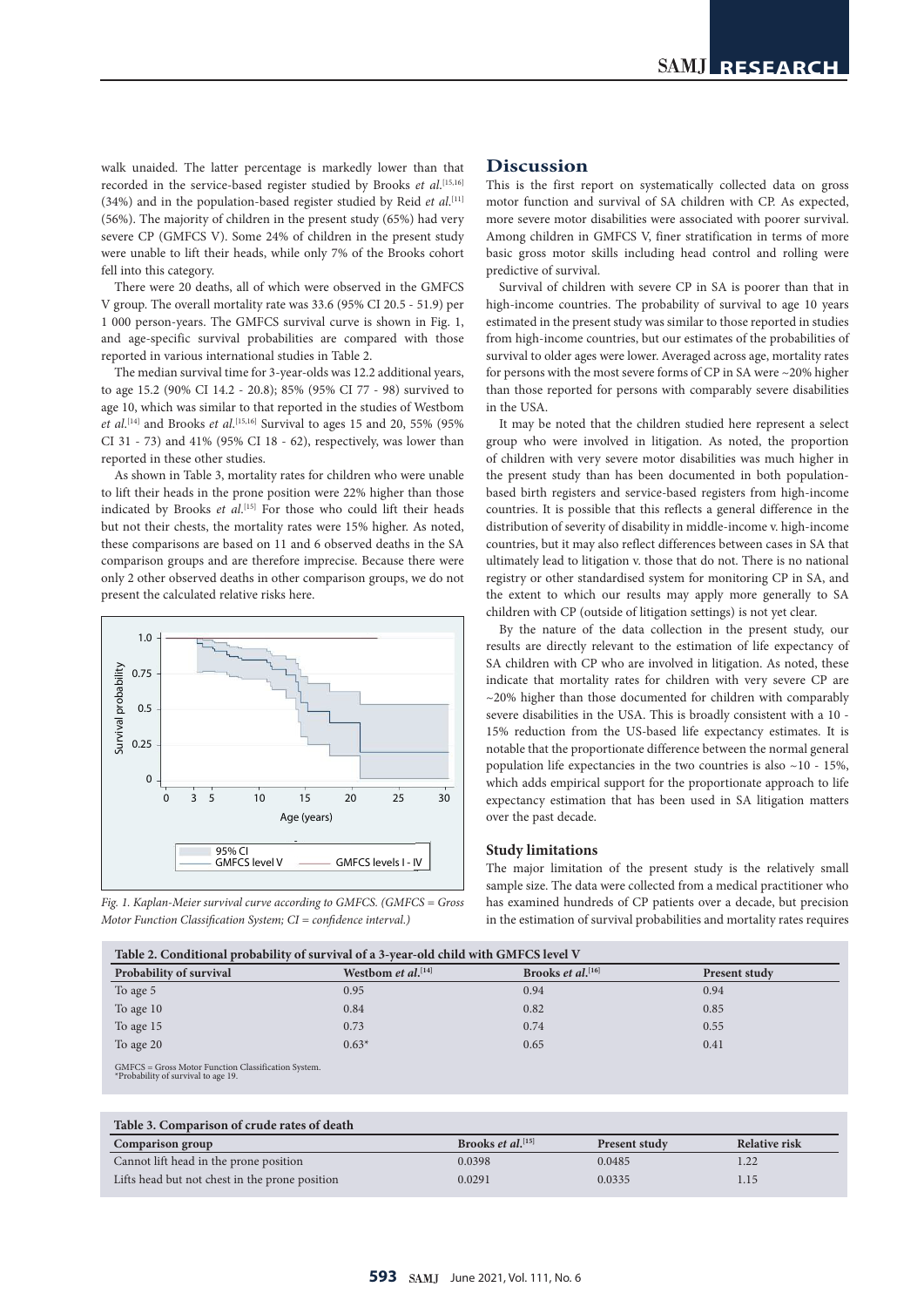walk unaided. The latter percentage is markedly lower than that recorded in the service-based register studied by Brooks *et al*. [15,16] (34%) and in the population-based register studied by Reid *et al*. [11] (56%). The majority of children in the present study (65%) had very severe CP (GMFCS V). Some 24% of children in the present study were unable to lift their heads, while only 7% of the Brooks cohort fell into this category.

There were 20 deaths, all of which were observed in the GMFCS V group. The overall mortality rate was 33.6 (95% CI 20.5 - 51.9) per 1 000 person-years. The GMFCS survival curve is shown in Fig. 1, and age-specific survival probabilities are compared with those reported in various international studies in Table 2.

The median survival time for 3-year-olds was 12.2 additional years, to age 15.2 (90% CI 14.2 - 20.8); 85% (95% CI 77 - 98) survived to age 10, which was similar to that reported in the studies of Westbom *et al*. [14] and Brooks *et al*. [15,16] Survival to ages 15 and 20, 55% (95% CI 31 - 73) and 41% (95% CI 18 - 62), respectively, was lower than reported in these other studies.

As shown in Table 3, mortality rates for children who were unable to lift their heads in the prone position were 22% higher than those indicated by Brooks *et al*. [15] For those who could lift their heads but not their chests, the mortality rates were 15% higher. As noted, these comparisons are based on 11 and 6 observed deaths in the SA comparison groups and are therefore imprecise. Because there were only 2 other observed deaths in other comparison groups, we do not present the calculated relative risks here.





# **Discussion**

This is the first report on systematically collected data on gross motor function and survival of SA children with CP. As expected, more severe motor disabilities were associated with poorer survival. Among children in GMFCS V, finer stratification in terms of more basic gross motor skills including head control and rolling were predictive of survival.

Survival of children with severe CP in SA is poorer than that in high-income countries. The probability of survival to age 10 years estimated in the present study was similar to those reported in studies from high-income countries, but our estimates of the probabilities of survival to older ages were lower. Averaged across age, mortality rates for persons with the most severe forms of CP in SA were ~20% higher than those reported for persons with comparably severe disabilities in the USA.

It may be noted that the children studied here represent a select group who were involved in litigation. As noted, the proportion of children with very severe motor disabilities was much higher in the present study than has been documented in both populationbased birth registers and service-based registers from high-income countries. It is possible that this reflects a general difference in the distribution of severity of disability in middle-income v. high-income countries, but it may also reflect differences between cases in SA that ultimately lead to litigation v. those that do not. There is no national registry or other standardised system for monitoring CP in SA, and the extent to which our results may apply more generally to SA children with CP (outside of litigation settings) is not yet clear.

By the nature of the data collection in the present study, our results are directly relevant to the estimation of life expectancy of SA children with CP who are involved in litigation. As noted, these indicate that mortality rates for children with very severe CP are  $\sim$ 20% higher than those documented for children with comparably severe disabilities in the USA. This is broadly consistent with a 10 - 15% reduction from the US-based life expectancy estimates. It is notable that the proportionate difference between the normal general population life expectancies in the two countries is also  $~10$  - 15%, which adds empirical support for the proportionate approach to life expectancy estimation that has been used in SA litigation matters over the past decade.

#### **Study limitations**

The major limitation of the present study is the relatively small sample size. The data were collected from a medical practitioner who has examined hundreds of CP patients over a decade, but precision in the estimation of survival probabilities and mortality rates requires

| Table 2. Conditional probability of survival of a 3-year-old child with GMFCS level V                                                                                                                                                                                                                                                         |                                       |                                      |                      |  |  |
|-----------------------------------------------------------------------------------------------------------------------------------------------------------------------------------------------------------------------------------------------------------------------------------------------------------------------------------------------|---------------------------------------|--------------------------------------|----------------------|--|--|
| Probability of survival                                                                                                                                                                                                                                                                                                                       | Westbom <i>et al.</i> <sup>[14]</sup> | Brooks <i>et al.</i> <sup>[16]</sup> | <b>Present study</b> |  |  |
| To age 5                                                                                                                                                                                                                                                                                                                                      | 0.95                                  | 0.94                                 | 0.94                 |  |  |
| To age 10                                                                                                                                                                                                                                                                                                                                     | 0.84                                  | 0.82                                 | 0.85                 |  |  |
| To age 15                                                                                                                                                                                                                                                                                                                                     | 0.73                                  | 0.74                                 | 0.55                 |  |  |
| To age 20                                                                                                                                                                                                                                                                                                                                     | $0.63*$                               | 0.65                                 | 0.41                 |  |  |
| $\alpha$ and $\alpha$ is $\alpha$ in $\alpha$ in $\alpha$ in $\alpha$ in $\alpha$ in $\alpha$ in $\alpha$ in $\alpha$ in $\alpha$ in $\alpha$ in $\alpha$ in $\alpha$ in $\alpha$ in $\alpha$ in $\alpha$ in $\alpha$ in $\alpha$ in $\alpha$ in $\alpha$ in $\alpha$ in $\alpha$ in $\alpha$ in $\alpha$ in $\alpha$ in $\alpha$ in $\alpha$ |                                       |                                      |                      |  |  |

GMFCS = Gross Motor Function Classification System. \*Probability of survival to age 19.

| Table 3. Comparison of crude rates of death    |                                      |                      |               |  |  |  |
|------------------------------------------------|--------------------------------------|----------------------|---------------|--|--|--|
| Comparison group                               | Brooks <i>et al.</i> <sup>[15]</sup> | <b>Present study</b> | Relative risk |  |  |  |
| Cannot lift head in the prone position         | 0.0398                               | 0.0485               |               |  |  |  |
| Lifts head but not chest in the prone position | 0.0291                               | 0.0335               | 1.15          |  |  |  |